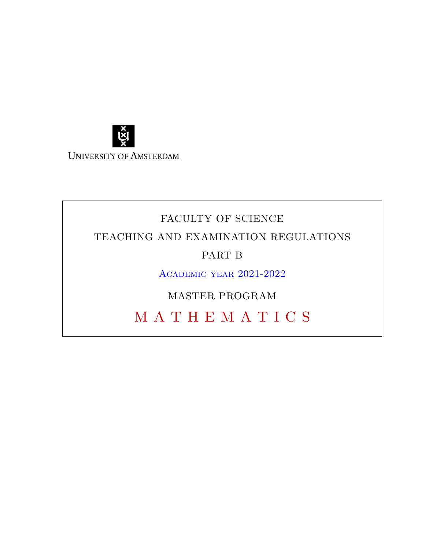

# FACULTY OF SCIENCE TEACHING AND EXAMINATION REGULATIONS PART B Academic year 2021-2022

MASTER PROGRAM

M A T H E M A T I C S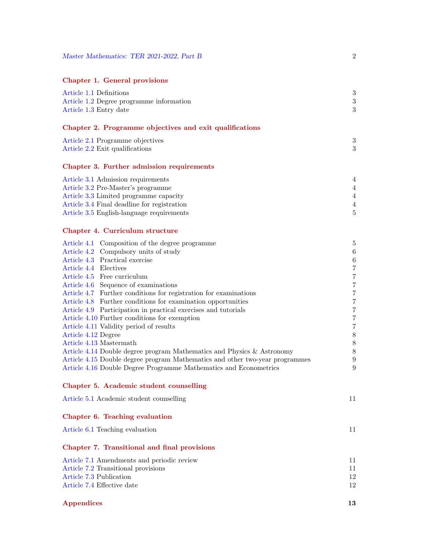| <b>Chapter 1. General provisions</b> |  |  |  |  |
|--------------------------------------|--|--|--|--|
|--------------------------------------|--|--|--|--|

| Article 1.1 Definitions<br>Article 1.2 Degree programme information                      | 3<br>3                  |
|------------------------------------------------------------------------------------------|-------------------------|
| Article 1.3 Entry date                                                                   | 3                       |
| Chapter 2. Programme objectives and exit qualifications                                  |                         |
| Article 2.1 Programme objectives<br>Article 2.2 Exit qualifications                      | 3<br>3                  |
| Chapter 3. Further admission requirements                                                |                         |
| Article 3.1 Admission requirements                                                       | 4                       |
| Article 3.2 Pre-Master's programme                                                       | $\overline{4}$          |
| Article 3.3 Limited programme capacity                                                   | $\overline{4}$          |
| Article 3.4 Final deadline for registration<br>Article 3.5 English-language requirements | $\overline{4}$<br>5     |
|                                                                                          |                         |
| Chapter 4. Curriculum structure                                                          |                         |
| Article 4.1 Composition of the degree programme                                          | 5                       |
| Article 4.2 Compulsory units of study                                                    | $\,6$                   |
| Article 4.3 Practical exercise<br>Article 4.4 Electives                                  | $\,6$<br>$\overline{7}$ |
| Article 4.5 Free curriculum                                                              | $\overline{7}$          |
| Article 4.6 Sequence of examinations                                                     | $\boldsymbol{7}$        |
| Article 4.7 Further conditions for registration for examinations                         | $\overline{7}$          |
| Article 4.8 Further conditions for examination opportunities                             | $\overline{7}$          |
| Article 4.9 Participation in practical exercises and tutorials                           | $\overline{7}$          |
| Article 4.10 Further conditions for exemption                                            | $\sqrt{ }$              |
| Article 4.11 Validity period of results                                                  | $\overline{7}$          |
| Article 4.12 Degree                                                                      | $8\,$                   |
| Article 4.13 Mastermath                                                                  | $8\,$                   |
| Article 4.14 Double degree program Mathematics and Physics & Astronomy                   | $8\,$                   |
| Article 4.15 Double degree program Mathematics and other two-year programmes             | 9                       |
| Article 4.16 Double Degree Programme Mathematics and Econometrics                        | 9                       |
| Chapter 5. Academic student counselling                                                  |                         |
| Article 5.1 Academic student counselling                                                 | 11                      |
| Chapter 6. Teaching evaluation                                                           |                         |
| Article 6.1 Teaching evaluation                                                          | 11                      |
| Chapter 7. Transitional and final provisions                                             |                         |
| Article 7.1 Amendments and periodic review                                               | 11                      |
| Article 7.2 Transitional provisions                                                      | 11                      |
| Article 7.3 Publication                                                                  | 12                      |
| Article 7.4 Effective date                                                               | 12                      |
|                                                                                          |                         |

# Appendices 13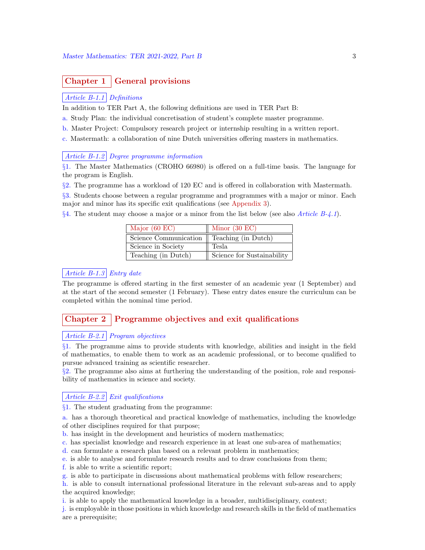# Chapter 1 | General provisions

### Article B-1.1 Definitions

In addition to TER Part A, the following definitions are used in TER Part B:

- a. Study Plan: the individual concretisation of student's complete master programme.
- b. Master Project: Compulsory research project or internship resulting in a written report.

c. Mastermath: a collaboration of nine Dutch universities offering masters in mathematics.

### Article B-1.2 Degree programme information

§1. The Master Mathematics (CROHO 66980) is offered on a full-time basis. The language for the program is English.

§2. The programme has a workload of 120 EC and is offered in collaboration with Mastermath.

§3. Students choose between a regular programme and programmes with a major or minor. Each major and minor has its specific exit qualifications (see Appendix 3).

 $\S 4$ . The student may choose a major or a minor from the list below (see also *Article B-4.1*).

| Major $(60)$ EC)      | Minor $(30 \text{ EC})$    |
|-----------------------|----------------------------|
| Science Communication | Teaching (in Dutch)        |
| Science in Society    | Tesla                      |
| Teaching (in Dutch)   | Science for Sustainability |

# Article B-1.3 Entry date

The programme is offered starting in the first semester of an academic year (1 September) and at the start of the second semester (1 February). These entry dates ensure the curriculum can be completed within the nominal time period.

# Chapter 2 Programme objectives and exit qualifications

# Article  $B-2.1$  Program objectives

§1. The programme aims to provide students with knowledge, abilities and insight in the field of mathematics, to enable them to work as an academic professional, or to become qualified to pursue advanced training as scientific researcher.

 $\S2$ . The programme also aims at furthering the understanding of the position, role and responsibility of mathematics in science and society.

# Article B-2.2 Exit qualifications

§1. The student graduating from the programme:

a. has a thorough theoretical and practical knowledge of mathematics, including the knowledge of other disciplines required for that purpose;

- b. has insight in the development and heuristics of modern mathematics;
- c. has specialist knowledge and research experience in at least one sub-area of mathematics;
- d. can formulate a research plan based on a relevant problem in mathematics;
- e. is able to analyse and formulate research results and to draw conclusions from them;
- f. is able to write a scientific report;

g. is able to participate in discussions about mathematical problems with fellow researchers;

h. is able to consult international professional literature in the relevant sub-areas and to apply the acquired knowledge;

i. is able to apply the mathematical knowledge in a broader, multidisciplinary, context;

j. is employable in those positions in which knowledge and research skills in the field of mathematics are a prerequisite;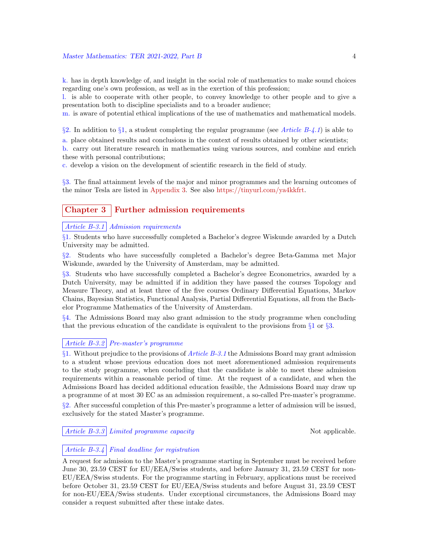k. has in depth knowledge of, and insight in the social role of mathematics to make sound choices regarding one's own profession, as well as in the exertion of this profession;

l. is able to cooperate with other people, to convey knowledge to other people and to give a presentation both to discipline specialists and to a broader audience;

m. is aware of potential ethical implications of the use of mathematics and mathematical models.

§2. In addition to §1, a student completing the regular programme (see Article B-4.1) is able to

a. place obtained results and conclusions in the context of results obtained by other scientists; b. carry out literature research in mathematics using various sources, and combine and enrich these with personal contributions;

c. develop a vision on the development of scientific research in the field of study.

§3. The final attainment levels of the major and minor programmes and the learning outcomes of the minor Tesla are listed in Appendix 3. See also https://tinyurl.com/ya4kkfrt.

# Chapter 3 Further admission requirements

#### Article B-3.1 Admission requirements

§1. Students who have successfully completed a Bachelor's degree Wiskunde awarded by a Dutch University may be admitted.

§2. Students who have successfully completed a Bachelor's degree Beta-Gamma met Major Wiskunde, awarded by the University of Amsterdam, may be admitted.

§3. Students who have successfully completed a Bachelor's degree Econometrics, awarded by a Dutch University, may be admitted if in addition they have passed the courses Topology and Measure Theory, and at least three of the five courses Ordinary Differential Equations, Markov Chains, Bayesian Statistics, Functional Analysis, Partial Differential Equations, all from the Bachelor Programme Mathematics of the University of Amsterdam.

§4. The Admissions Board may also grant admission to the study programme when concluding that the previous education of the candidate is equivalent to the provisions from  $\S 1$  or  $\S 3$ .

# Article B-3.2 Pre-master's programme

 $§1.$  Without prejudice to the provisions of *Article B-3.1* the Admissions Board may grant admission to a student whose previous education does not meet aforementioned admission requirements to the study programme, when concluding that the candidate is able to meet these admission requirements within a reasonable period of time. At the request of a candidate, and when the Admissions Board has decided additional education feasible, the Admissions Board may draw up a programme of at most 30 EC as an admission requirement, a so-called Pre-master's programme.

§2. After successful completion of this Pre-master's programme a letter of admission will be issued, exclusively for the stated Master's programme.

Article B-3.3 Limited programme capacity Not applicable.

### Article  $B-3.4$  Final deadline for registration

A request for admission to the Master's programme starting in September must be received before June 30, 23.59 CEST for EU/EEA/Swiss students, and before January 31, 23.59 CEST for non-EU/EEA/Swiss students. For the programme starting in February, applications must be received before October 31, 23.59 CEST for EU/EEA/Swiss students and before August 31, 23.59 CEST for non-EU/EEA/Swiss students. Under exceptional circumstances, the Admissions Board may consider a request submitted after these intake dates.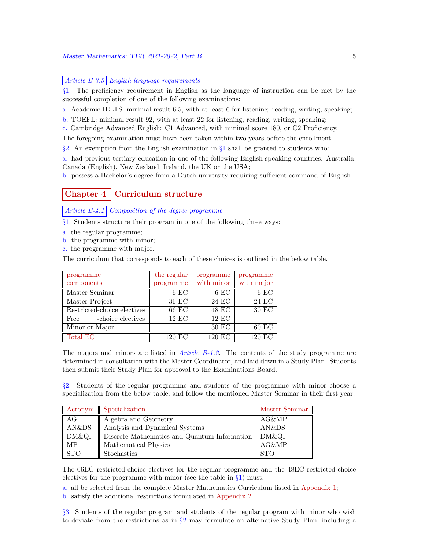### Article  $B-3.5$  English language requirements

§1. The proficiency requirement in English as the language of instruction can be met by the successful completion of one of the following examinations:

a. Academic IELTS: minimal result 6.5, with at least 6 for listening, reading, writing, speaking;

b. TOEFL: minimal result 92, with at least 22 for listening, reading, writing, speaking;

c. Cambridge Advanced English: C1 Advanced, with minimal score 180, or C2 Proficiency.

The foregoing examination must have been taken within two years before the enrollment.

 $\S$ 2. An exemption from the English examination in  $\S$ 1 shall be granted to students who:

a. had previous tertiary education in one of the following English-speaking countries: Australia, Canada (English), New Zealand, Ireland, the UK or the USA;

b. possess a Bachelor's degree from a Dutch university requiring sufficient command of English.

# Chapter 4 | Curriculum structure

Article  $B-4.1$  Composition of the degree programme

§1. Students structure their program in one of the following three ways:

- a. the regular programme;
- b. the programme with minor;
- c. the programme with major.

The curriculum that corresponds to each of these choices is outlined in the below table.

| programme                   | the regular | programme          | programme           |
|-----------------------------|-------------|--------------------|---------------------|
| components                  | programme   | with minor         | with major          |
| Master Seminar              | $6$ EC      | $6$ EC             | $6$ EC              |
| Master Project              | 36 EC       | 24 EC              | 24 EC               |
| Restricted-choice electives | 66 EC       | 48 EC              | 30 EC               |
| -choice electives<br>Free   | $12$ EC     | $12 \overline{EC}$ |                     |
| Minor or Major              |             | $30$ EC            | $60$ EC             |
| Total EC                    | 120 EC      | 120 EC             | $120 \overline{EC}$ |

The majors and minors are listed in *Article B-1.2*. The contents of the study programme are determined in consultation with the Master Coordinator, and laid down in a Study Plan. Students then submit their Study Plan for approval to the Examinations Board.

§2. Students of the regular programme and students of the programme with minor choose a specialization from the below table, and follow the mentioned Master Seminar in their first year.

| Acronym    | Specialization                               | Master Seminar |
|------------|----------------------------------------------|----------------|
| AG         | Algebra and Geometry                         | AG&MP          |
| AN&DS      | Analysis and Dynamical Systems               | AN&DS          |
| DM&QI      | Discrete Mathematics and Quantum Information | DM&QI          |
| <b>MP</b>  | Mathematical Physics                         | AG&MP          |
| <b>STO</b> | Stochastics                                  | -STO           |

The 66EC restricted-choice electives for the regular programme and the 48EC restricted-choice electives for the programme with minor (see the table in  $\S1$ ) must:

a. all be selected from the complete Master Mathematics Curriculum listed in Appendix 1;

b. satisfy the additional restrictions formulated in Appendix 2.

§3. Students of the regular program and students of the regular program with minor who wish to deviate from the restrictions as in  $\S2$  may formulate an alternative Study Plan, including a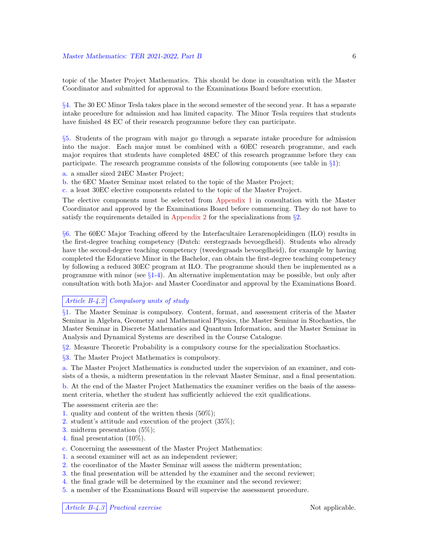topic of the Master Project Mathematics. This should be done in consultation with the Master Coordinator and submitted for approval to the Examinations Board before execution.

§4. The 30 EC Minor Tesla takes place in the second semester of the second year. It has a separate intake procedure for admission and has limited capacity. The Minor Tesla requires that students have finished 48 EC of their research programme before they can participate.

§5. Students of the program with major go through a separate intake procedure for admission into the major. Each major must be combined with a 60EC research programme, and each major requires that students have completed 48EC of this research programme before they can participate. The research programme consists of the following components (see table in  $\S$ 1):

- a. a smaller sized 24EC Master Project;
- b. the 6EC Master Seminar most related to the topic of the Master Project;
- c. a least 30EC elective components related to the topic of the Master Project.

The elective components must be selected from Appendix 1 in consultation with the Master Coordinator and approved by the Examinations Board before commencing. They do not have to satisfy the requirements detailed in Appendix 2 for the specializations from  $\S2$ .

§6. The 60EC Major Teaching offered by the Interfacultaire Lerarenopleidingen (ILO) results in the first-degree teaching competency (Dutch: eerstegraads bevoegdheid). Students who already have the second-degree teaching competency (tweedegraads bevoegdheid), for example by having completed the Educatieve Minor in the Bachelor, can obtain the first-degree teaching competency by following a reduced 30EC program at ILO. The programme should then be implemented as a programme with minor (see  $\S1-4$ ). An alternative implementation may be possible, but only after consultation with both Major- and Master Coordinator and approval by the Examinations Board.

### Article B-4.2 Compulsory units of study

§1. The Master Seminar is compulsory. Content, format, and assessment criteria of the Master Seminar in Algebra, Geometry and Mathematical Physics, the Master Seminar in Stochastics, the Master Seminar in Discrete Mathematics and Quantum Information, and the Master Seminar in Analysis and Dynamical Systems are described in the Course Catalogue.

§2. Measure Theoretic Probability is a compulsory course for the specialization Stochastics.

§3. The Master Project Mathematics is compulsory.

a. The Master Project Mathematics is conducted under the supervision of an examiner, and consists of a thesis, a midterm presentation in the relevant Master Seminar, and a final presentation. b. At the end of the Master Project Mathematics the examiner verifies on the basis of the assess-

ment criteria, whether the student has sufficiently achieved the exit qualifications.

The assessment criteria are the:

- 1. quality and content of the written thesis (50%);
- 2. student's attitude and execution of the project (35%);
- 3. midterm presentation (5%);
- 4. final presentation (10%).
- c. Concerning the assessment of the Master Project Mathematics:
- 1. a second examiner will act as an independent reviewer;
- 2. the coordinator of the Master Seminar will assess the midterm presentation;
- 3. the final presentation will be attended by the examiner and the second reviewer;
- 4. the final grade will be determined by the examiner and the second reviewer;
- 5. a member of the Examinations Board will supervise the assessment procedure.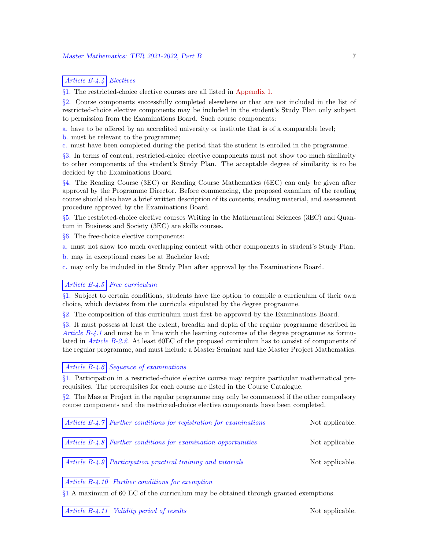# Article B-4.4 Electives

§1. The restricted-choice elective courses are all listed in Appendix 1.

§2. Course components successfully completed elsewhere or that are not included in the list of restricted-choice elective components may be included in the student's Study Plan only subject to permission from the Examinations Board. Such course components:

a. have to be offered by an accredited university or institute that is of a comparable level;

- b. must be relevant to the programme;
- c. must have been completed during the period that the student is enrolled in the programme.

§3. In terms of content, restricted-choice elective components must not show too much similarity to other components of the student's Study Plan. The acceptable degree of similarity is to be decided by the Examinations Board.

§4. The Reading Course (3EC) or Reading Course Mathematics (6EC) can only be given after approval by the Programme Director. Before commencing, the proposed examiner of the reading course should also have a brief written description of its contents, reading material, and assessment procedure approved by the Examinations Board.

§5. The restricted-choice elective courses Writing in the Mathematical Sciences (3EC) and Quantum in Business and Society (3EC) are skills courses.

§6. The free-choice elective components:

a. must not show too much overlapping content with other components in student's Study Plan;

b. may in exceptional cases be at Bachelor level;

c. may only be included in the Study Plan after approval by the Examinations Board.

# Article  $B-4.5$  Free curriculum

§1. Subject to certain conditions, students have the option to compile a curriculum of their own choice, which deviates from the curricula stipulated by the degree programme.

§2. The composition of this curriculum must first be approved by the Examinations Board.

§3. It must possess at least the extent, breadth and depth of the regular programme described in Article  $B-4.1$  and must be in line with the learning outcomes of the degree programme as formulated in *Article B-2.2.* At least 60 EC of the proposed curriculum has to consist of components of the regular programme, and must include a Master Seminar and the Master Project Mathematics.

# Article B-4.6 Sequence of examinations

§1. Participation in a restricted-choice elective course may require particular mathematical prerequisites. The prerequisites for each course are listed in the Course Catalogue.

§2. The Master Project in the regular programme may only be commenced if the other compulsory course components and the restricted-choice elective components have been completed.

|  | $\vert$ Article B-4.7 Further conditions for registration for examinations | Not applicable. |
|--|----------------------------------------------------------------------------|-----------------|
|  | $\vert$ Article B-4.8 Further conditions for examination opportunities     | Not applicable. |
|  | $\vert$ Article B-4.9 Participation practical training and tutorials       | Not applicable. |

### Article  $B-4.10$  Further conditions for exemption

§1 A maximum of 60 EC of the curriculum may be obtained through granted exemptions.

Article B-4.11 Validity period of results Not applicable.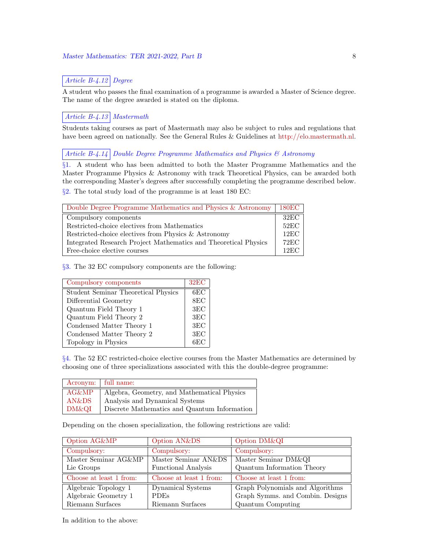# Article B-4.12 Degree

A student who passes the final examination of a programme is awarded a Master of Science degree. The name of the degree awarded is stated on the diploma.

# Article B-4.13 Mastermath

Students taking courses as part of Mastermath may also be subject to rules and regulations that have been agreed on nationally. See the General Rules & Guidelines at http://elo.mastermath.nl.

# Article B-4.14 Double Degree Programme Mathematics and Physics  $\mathcal{B}$  Astronomy

§1. A student who has been admitted to both the Master Programme Mathematics and the Master Programme Physics & Astronomy with track Theoretical Physics, can be awarded both the corresponding Master's degrees after successfully completing the programme described below. §2. The total study load of the programme is at least 180 EC:

| Double Degree Programme Mathematics and Physics & Astronomy     | 180EC           |
|-----------------------------------------------------------------|-----------------|
| Compulsory components                                           | $32\mathrm{EC}$ |
| Restricted-choice electives from Mathematics                    | 52EC            |
| Restricted-choice electives from Physics & Astronomy            | 12EC            |
| Integrated Research Project Mathematics and Theoretical Physics | $72\mathrm{EC}$ |
| Free-choice elective courses                                    | $12\mathrm{EC}$ |

§3. The 32 EC compulsory components are the following:

| Compulsory components                      | $32\mathrm{EC}$ |
|--------------------------------------------|-----------------|
| <b>Student Seminar Theoretical Physics</b> | 6EC             |
| Differential Geometry                      | 8EC             |
| Quantum Field Theory 1                     | 3EC             |
| Quantum Field Theory 2                     | 3EC             |
| Condensed Matter Theory 1                  | 3EC             |
| Condensed Matter Theory 2                  | 3EC             |
| Topology in Physics                        | 6EC             |

§4. The 52 EC restricted-choice elective courses from the Master Mathematics are determined by choosing one of three specializations associated with this the double-degree programme:

|       | Acronym: full name:                          |
|-------|----------------------------------------------|
| AG&MP | Algebra, Geometry, and Mathematical Physics  |
| AN&DS | Analysis and Dynamical Systems               |
| DM&QI | Discrete Mathematics and Quantum Information |

Depending on the chosen specialization, the following restrictions are valid:

| Option AG&MP            | Option AN&DS               | Option DM&QI                     |
|-------------------------|----------------------------|----------------------------------|
| Compulsory:             | Compulsory:                | Compulsory:                      |
| Master Seminar AG&MP    | Master Seminar AN&DS       | Master Seminar DM&QI             |
| Lie Groups              | <b>Functional Analysis</b> | Quantum Information Theory       |
| Choose at least 1 from: | Choose at least 1 from:    | Choose at least 1 from:          |
| Algebraic Topology 1    | Dynamical Systems          | Graph Polynomials and Algorithms |
| Algebraic Geometry 1    | <b>PDEs</b>                | Graph Symms. and Combin. Designs |
| Riemann Surfaces        | Riemann Surfaces           | Quantum Computing                |

In addition to the above: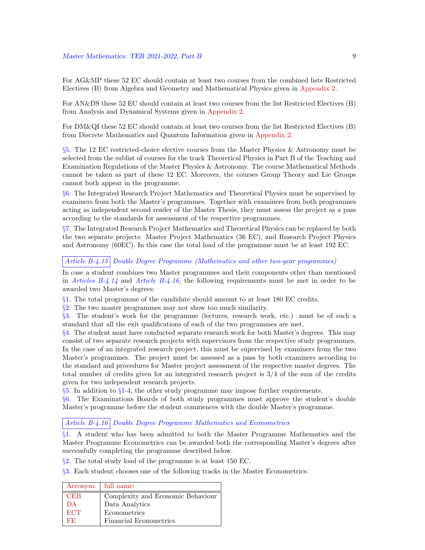For AG&MP these 52 EC should contain at least two courses from the combined lists Restricted Electives (B) from Algebra and Geometry and Mathematical Physics given in Appendix 2.

For AN&DS these 52 EC should contain at least two courses from the list Restricted Electives (B) from Analysis and Dynamical Systems given in Appendix 2.

For DM&QI these 52 EC should contain at least two courses from the list Restricted Electives (B) from Discrete Mathematics and Quantum Information given in Appendix 2.

§5. The 12 EC restricted-choice elective courses from the Master Physics & Astronomy must be selected from the sublist of courses for the track Theoretical Physics in Part B of the Teaching and Examination Regulations of the Master Physics & Astronomy. The course Mathematical Methods cannot be taken as part of these 12 EC. Moreover, the courses Group Theory and Lie Groups cannot both appear in the programme.

§6. The Integrated Research Project Mathematics and Theoretical Physics must be supervised by examiners from both the Master's programmes. Together with examiners from both programmes acting as independent second reader of the Master Thesis, they must assess the project as a pass according to the standards for assessment of the respective programmes.

§7. The Integrated Research Project Mathematics and Theoretical Physics can be replaced by both the two separate projects: Master Project Mathematics (36 EC), and Research Project Physics and Astronomy (60EC). In this case the total load of the programme must be at least 192 EC.

### Article B-4.15 Double Degree Programme (Mathematics and other two-year programmes)

In case a student combines two Master programmes and their components other than mentioned in Articles B-4.14 and Article B-4.16, the following requirements must be met in order to be awarded two Master's degrees:

§1. The total programme of the candidate should amount to at least 180 EC credits.

§2. The two master programmes may not show too much similarity.

§3. The student's work for the programme (lectures, research work, etc.) must be of such a standard that all the exit qualifications of each of the two programmes are met.

 $§4.$  The student must have conducted separate research work for both Master's degrees. This may consist of two separate research projects with supervisors from the respective study programmes. In the case of an integrated research project, this must be supervised by examiners from the two Master's programmes. The project must be assessed as a pass by both examiners according to the standard and procedures for Master project assessment of the respective master degrees. The total number of credits given for an integrated research project is 3/4 of the sum of the credits given for two independent research projects.

 $§5.$  In addition to  $§1-4$ , the other study programme may impose further requirements.

§6. The Examinations Boards of both study programmes must approve the student's double Master's programme before the student commences with the double Master's programme.

Article B-4.16 Double Degree Programme Mathematics and Econometrics

§1. A student who has been admitted to both the Master Programme Mathematics and the Master Programme Econometrics can be awarded both the corresponding Master's degrees after successfully completing the programme described below.

§2. The total study load of the programme is at least 150 EC.

§3. Each student chooses one of the following tracks in the Master Econometrics:

|            | Acronym:   full name:             |
|------------|-----------------------------------|
| <b>CEB</b> | Complexity and Economic Behaviour |
| DА         | Data Analytics                    |
| <b>ECT</b> | Econometrics                      |
| FЕ.        | <b>Financial Econometrics</b>     |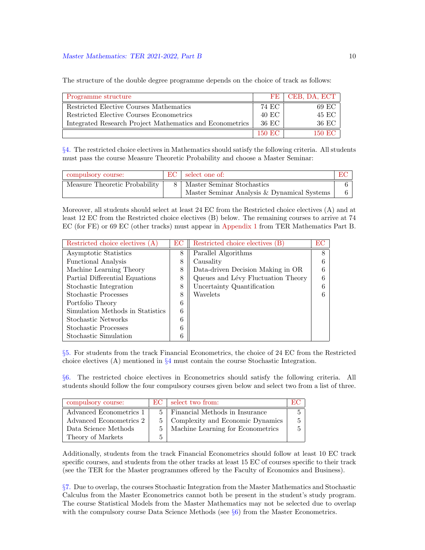The structure of the double degree programme depends on the choice of track as follows:

| Programme structure                                      | FF.     | CEB, DA, ECT |
|----------------------------------------------------------|---------|--------------|
| Restricted Elective Courses Mathematics                  | 74 EC   | 69 EC        |
| Restricted Elective Courses Econometrics                 | 40 EC   | 45 EC        |
| Integrated Research Project Mathematics and Econometrics | 36 EC   | 36 EC        |
|                                                          | -150 EC | 150 EC       |

§4. The restricted choice electives in Mathematics should satisfy the following criteria. All students must pass the course Measure Theoretic Probability and choose a Master Seminar:

| compulsory course:            | select one of:                              |  |
|-------------------------------|---------------------------------------------|--|
| Measure Theoretic Probability | 8   Master Seminar Stochastics              |  |
|                               | Master Seminar Analysis & Dynamical Systems |  |

Moreover, all students should select at least 24 EC from the Restricted choice electives (A) and at least 12 EC from the Restricted choice electives (B) below. The remaining courses to arrive at 74 EC (for FE) or 69 EC (other tracks) must appear in Appendix 1 from TER Mathematics Part B.

| Restricted choice electives (A)  | EС | Restricted choice electives (B)    | ЕC |
|----------------------------------|----|------------------------------------|----|
| Asymptotic Statistics            | 8  | Parallel Algorithms                | 8  |
| <b>Functional Analysis</b>       | 8  | Causality                          | 6  |
| Machine Learning Theory          | 8  | Data-driven Decision Making in OR  | 6  |
| Partial Differential Equations   | 8  | Queues and Lévy Fluctuation Theory | 6  |
| Stochastic Integration           | 8  | Uncertainty Quantification         | 6  |
| Stochastic Processes             | 8  | Wavelets                           | 6  |
| Portfolio Theory                 | 6  |                                    |    |
| Simulation Methods in Statistics | 6  |                                    |    |
| Stochastic Networks              | 6  |                                    |    |
| <b>Stochastic Processes</b>      | 6  |                                    |    |
| Stochastic Simulation            |    |                                    |    |

§5. For students from the track Financial Econometrics, the choice of 24 EC from the Restricted choice electives (A) mentioned in  $\S4$  must contain the course Stochastic Integration.

§6. The restricted choice electives in Econometrics should satisfy the following criteria. All students should follow the four compulsory courses given below and select two from a list of three.

| compulsory course:      | EC. | select two from:                  |  |
|-------------------------|-----|-----------------------------------|--|
| Advanced Econometrics 1 | 5.  | Financial Methods in Insurance    |  |
| Advanced Econometrics 2 |     | Complexity and Economic Dynamics  |  |
| Data Science Methods    | 5.  | Machine Learning for Econometrics |  |
| Theory of Markets       | 5   |                                   |  |

Additionally, students from the track Financial Econometrics should follow at least 10 EC track specific courses, and students from the other tracks at least 15 EC of courses specific to their track (see the TER for the Master programmes offered by the Faculty of Economics and Business).

§7. Due to overlap, the courses Stochastic Integration from the Master Mathematics and Stochastic Calculus from the Master Econometrics cannot both be present in the student's study program. The course Statistical Models from the Master Mathematics may not be selected due to overlap with the compulsory course Data Science Methods (see  $\S6$ ) from the Master Econometrics.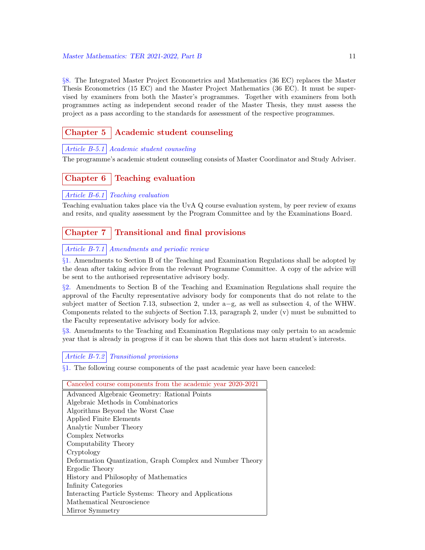§8. The Integrated Master Project Econometrics and Mathematics (36 EC) replaces the Master Thesis Econometrics (15 EC) and the Master Project Mathematics (36 EC). It must be supervised by examiners from both the Master's programmes. Together with examiners from both programmes acting as independent second reader of the Master Thesis, they must assess the project as a pass according to the standards for assessment of the respective programmes.

# Chapter  $5 \mid$  Academic student counseling

# Article B-5.1 Academic student counseling

The programme's academic student counseling consists of Master Coordinator and Study Adviser.

# Chapter  $6 \mid$  Teaching evaluation

# Article B-6.1 Teaching evaluation

Teaching evaluation takes place via the UvA Q course evaluation system, by peer review of exams and resits, and quality assessment by the Program Committee and by the Examinations Board.

# Chapter  $7 \mid$  Transitional and final provisions

# Article B-7.1 Amendments and periodic review

§1. Amendments to Section B of the Teaching and Examination Regulations shall be adopted by the dean after taking advice from the relevant Programme Committee. A copy of the advice will be sent to the authorised representative advisory body.

§2. Amendments to Section B of the Teaching and Examination Regulations shall require the approval of the Faculty representative advisory body for components that do not relate to the subject matter of Section 7.13, subsection 2, under a−g, as well as subsection 4, of the WHW. Components related to the subjects of Section 7.13, paragraph 2, under (v) must be submitted to the Faculty representative advisory body for advice.

§3. Amendments to the Teaching and Examination Regulations may only pertain to an academic year that is already in progress if it can be shown that this does not harm student's interests.

Article B-7.2 Transitional provisions

§1. The following course components of the past academic year have been canceled:

#### Canceled course components from the academic year 2020-2021

| Advanced Algebraic Geometry: Rational Points              |
|-----------------------------------------------------------|
| Algebraic Methods in Combinatorics                        |
| Algorithms Beyond the Worst Case                          |
| Applied Finite Elements                                   |
| Analytic Number Theory                                    |
| Complex Networks                                          |
| Computability Theory                                      |
| Cryptology                                                |
| Deformation Quantization, Graph Complex and Number Theory |
| Ergodic Theory                                            |
| History and Philosophy of Mathematics                     |
| Infinity Categories                                       |
| Interacting Particle Systems: Theory and Applications     |
| Mathematical Neuroscience                                 |
| Mirror Symmetry                                           |
|                                                           |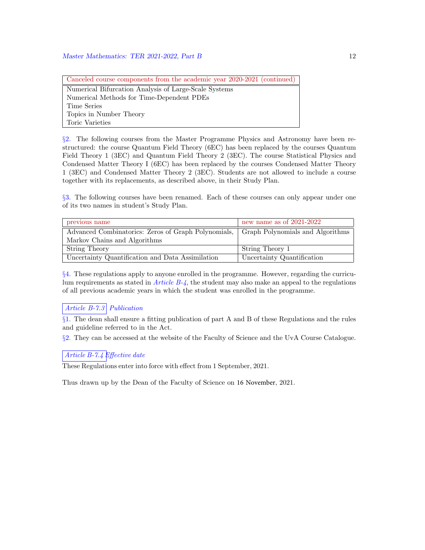Canceled course components from the academic year 2020-2021 (continued) Numerical Bifurcation Analysis of Large-Scale Systems Numerical Methods for Time-Dependent PDEs Time Series Topics in Number Theory Toric Varieties

§2. The following courses from the Master Programme Physics and Astronomy have been restructured: the course Quantum Field Theory (6EC) has been replaced by the courses Quantum Field Theory 1 (3EC) and Quantum Field Theory 2 (3EC). The course Statistical Physics and Condensed Matter Theory I (6EC) has been replaced by the courses Condensed Matter Theory 1 (3EC) and Condensed Matter Theory 2 (3EC). Students are not allowed to include a course together with its replacements, as described above, in their Study Plan.

§3. The following courses have been renamed. Each of these courses can only appear under one of its two names in student's Study Plan.

| previous name                                       | new name as of $2021-2022$       |
|-----------------------------------------------------|----------------------------------|
| Advanced Combinatorics: Zeros of Graph Polynomials, | Graph Polynomials and Algorithms |
| Markov Chains and Algorithms                        |                                  |
| String Theory                                       | String Theory 1                  |
| Uncertainty Quantification and Data Assimilation    | Uncertainty Quantification       |

§4. These regulations apply to anyone enrolled in the programme. However, regarding the curriculum requirements as stated in  $Article B-4$ , the student may also make an appeal to the regulations of all previous academic years in which the student was enrolled in the programme.

# Article B-7.3 Publication

§1. The dean shall ensure a fitting publication of part A and B of these Regulations and the rules and guideline referred to in the Act.

§2. They can be accessed at the website of the Faculty of Science and the UvA Course Catalogue.

# Article B-7.4 Effective date

These Regulations enter into force with effect from 1 September, 2021.

Thus drawn up by the Dean of the Faculty of Science on 16 November, 2021.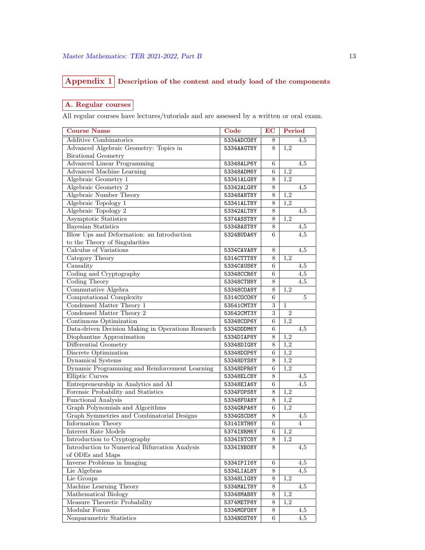# Appendix 1 Description of the content and study load of the components

# A. Regular courses

All regular courses have lectures/tutorials and are assessed by a written or oral exam.

| <b>Course Name</b>                                 | Code       | EC    | Period           |
|----------------------------------------------------|------------|-------|------------------|
| <b>Additive Combinatorics</b>                      | 5334ADC08Y | 8     | 4,5              |
| Advanced Algebraic Geometry: Topics in             | 5334AAGT8Y | 8     | 1,2              |
| <b>Birational Geometry</b>                         |            |       |                  |
| <b>Advanced Linear Programming</b>                 | 53348ALP6Y | 6     | 4,5              |
| <b>Advanced Machine Learning</b>                   | 53348ADM6Y | 6     | 1,2              |
| Algebraic Geometry 1                               | 53341ALG8Y | 8     | 1,2              |
| Algebraic Geometry 2                               | 53342ALG8Y | 8     | 4,5              |
| Algebraic Number Theory                            | 53348ANT8Y | $8\,$ | 1,2              |
| Algebraic Topology 1                               | 53341ALT8Y | 8     | 1,2              |
| Algebraic Topology 2                               | 53342ALT8Y | 8     | 4,5              |
| <b>Asymptotic Statistics</b>                       | 5374ASST8Y | 8     | 1,2              |
| <b>Bayesian Statistics</b>                         | 5334BAST8Y | 8     | 4,5              |
| Blow Ups and Deformation: an Introduction          | 5324BUDA6Y | 6     | 4,5              |
| to the Theory of Singularities                     |            |       |                  |
| Calculus of Variations                             | 5334CAVA8Y | 8     | 4,5              |
| Category Theory                                    | 5314CTTT8Y | 8     | $\overline{1,2}$ |
| Causality                                          | 5334CAUS6Y | 6     | 4,5              |
| Coding and Cryptography                            | 53348CCR6Y | 6     | $\overline{4,5}$ |
| Coding Theory                                      | 53348CTH8Y | 8     | 4,5              |
| Commutative Algebra                                | 53348C0A8Y | 8     | 1,2              |
| Computational Complexity                           | 5314C0C06Y | 6     | $\overline{5}$   |
| Condensed Matter Theory 1                          | 53541CMT3Y | 3     | $\mathbf{1}$     |
| Condensed Matter Theory 2                          | 53542CMT3Y | 3     | $\overline{2}$   |
| Continuous Optimization                            | 53348C0P6Y | 6     | 1,2              |
| Data-driven Decision Making in Operations Research | 5334DDDM6Y | 6     | 4,5              |
| Diophantine Approximation                          | 5334DIAP8Y | 8     | 1,2              |
| Differential Geometry                              | 53348DIG8Y | 8     | 1,2              |
| Discrete Optimization                              | 53348D0P6Y | 6     | 1,2              |
| Dynamical Systems                                  | 53348DYS8Y | 8     | 1,2              |
| Dynamic Programming and Reinforcement Learning     | 53348DPR6Y | 6     | $1,\overline{2}$ |
| <b>Elliptic Curves</b>                             | 53348ELC8Y | 8     | 4,5              |
| Entrepreneurship in Analytics and AI               | 53348EIA6Y | 6     | 4,5              |
| Forensic Probability and Statistics                | 5334F0PS8Y | 8     | 1,2              |
| Functional Analysis                                | 53348FUA8Y | 8     | 1,2              |
| Graph Polynomials and Algorithms                   | 5334GRPA6Y | 6     | $1,\overline{2}$ |
| Graph Symmetries and Combinatorial Designs         | 5334GSCD8Y | 8     | 4,5              |
| Information Theory                                 | 5314INTH6Y | 6     | 4                |
| Interest Rate Models                               | 5374INRM6Y | 6     | 1,2              |
| Introduction to Cryptography                       | 5334INTC8Y | 8     | 1,2              |
| Introduction to Numerical Bifurcation Analysis     | 5334INB08Y | 8     | 4,5              |
| of ODEs and Maps                                   |            |       |                  |
| Inverse Problems in Imaging                        | 5334IPII6Y | 6     | 4,5              |
| Lie Algebras                                       | 5334LIAL8Y | 8     | 4,5              |
| Lie Groups                                         | 53348LIG8Y | 8     | $1,\overline{2}$ |
| Machine Learning Theory                            | 5334MALT8Y | 8     | 4,5              |
| Mathematical Biology                               | 53348MAB8Y | 8     | 1,2              |
| Measure Theoretic Probability                      | 5374METP8Y | 8     | 1,2              |
| Modular Forms                                      | 5334M0F08Y | 8     | 4,5              |
|                                                    |            |       |                  |
| Nonparametric Statistics                           | 5334N0ST6Y | 6     | 4,5              |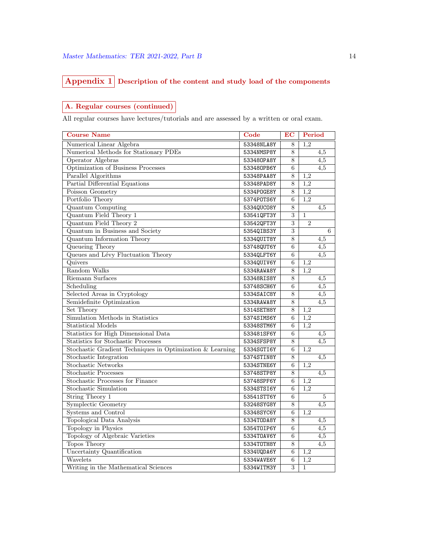# $\fbox{Appendix 1}$  Description of the content and study load of the components

# A. Regular courses (continued)

All regular courses have lectures/tutorials and are assessed by a written or oral exam.

| <b>Course Name</b>                                        | $\overline{\text{Code}}$ | $\overline{EC}$           | Period           |                  |
|-----------------------------------------------------------|--------------------------|---------------------------|------------------|------------------|
| Numerical Linear Algebra                                  | 53348NLA8Y               | 8                         | 1,2              |                  |
| Numerical Methods for Stationary PDEs                     | 5334NMSP8Y               | 8                         |                  | 4,5              |
| Operator Algebras                                         | 533480PA8Y               | 8                         |                  | 4,5              |
| Optimization of Business Processes                        | 533480PB6Y               | 6                         |                  | 4,5              |
| Parallel Algorithms                                       | 53348PAA8Y               | $\overline{8}$            | 1,2              |                  |
| Partial Differential Equations                            | 53348PAD8Y               | $\overline{8}$            | 1,2              |                  |
| Poisson Geometry                                          | 5334P0GE8Y               | 8                         | 1,2              |                  |
| Portfolio Theory                                          | 5374P0TS6Y               | 6                         | 1,2              |                  |
| <b>Quantum Computing</b>                                  | 5334QUC08Y               | $\overline{8}$            |                  | 4,5              |
| Quantum Field Theory 1                                    | 53541QFT3Y               | 3                         | $\mathbf{1}$     |                  |
| Quantum Field Theory 2                                    | 53542QFT3Y               | $\overline{3}$            | $\overline{2}$   |                  |
| Quantum in Business and Society                           | 5354QIBS3Y               | $\overline{\overline{3}}$ |                  | 6                |
| <b>Quantum Information Theory</b>                         | 5334QUIT8Y               | $\overline{8}$            |                  | 4,5              |
| Queueing Theory                                           | 53748QUT6Y               | 6                         |                  | 4,5              |
| Queues and Lévy Fluctuation Theory                        | 53340LFT6Y               | 6                         |                  | $\overline{4,5}$ |
| Quivers                                                   | 5334QUIV6Y               | $\overline{6}$            | 1,2              |                  |
| Random Walks                                              | 5334RAWA8Y               | 8                         | 1.2              |                  |
| Riemann Surfaces                                          | 53348RIS8Y               | 8                         |                  | $\overline{4,5}$ |
| Scheduling                                                | 53748SCH6Y               | 6                         |                  | $\overline{4,5}$ |
| Selected Areas in Cryptology                              | 5334SAIC8Y               | $\overline{8}$            |                  | 4,5              |
| Semidefinite Optimization                                 | 5334RAWA8Y               | $\overline{8}$            |                  | 4,5              |
| Set Theory                                                | 5314SETH8Y               | 8                         | 1,2              |                  |
| Simulation Methods in Statistics                          | 5374SIMS6Y               | 6                         | 1,2              |                  |
| Statistical Models                                        | 53348STM6Y               | 6                         | 1,2              |                  |
| Statistics for High Dimensional Data                      | 533481SF6Y               | 6                         |                  | 4,5              |
| Statistics for Stochastic Processes                       | 5334SFSP8Y               | 8                         |                  | 4,5              |
| Stochastic Gradient Techniques in Optimization & Learning | 5334SGTI6Y               | 6                         | 1,2              |                  |
| Stochastic Integration                                    | 5374STIN8Y               | 8                         |                  | 4,5              |
| <b>Stochastic Networks</b>                                | 5334STNE6Y               | 6                         | 1,2              |                  |
| <b>Stochastic Processes</b>                               | 53748STP8Y               | 8                         |                  | 4,5              |
| Stochastic Processes for Finance                          | 53748SPF6Y               | 6                         | 1,2              |                  |
| <b>Stochastic Simulation</b>                              | 5334STSI6Y               | 6                         | 1,2              |                  |
| <b>String Theory 1</b>                                    | 53541STT6Y               | 6                         |                  | 5                |
| <b>Symplectic Geometry</b>                                | 53248SYG8Y               | 8                         |                  | $\overline{4,5}$ |
| Systems and Control                                       | 53348SYC6Y               | 6                         | 1,2              |                  |
| <b>Topological Data Analysis</b>                          | 5334T0DA8Y               | 8                         |                  | $\overline{4,5}$ |
| <b>Topology</b> in Physics                                | 5354T0IP6Y               | 6                         |                  | 4,5              |
| Topology of Algebraic Varieties                           | 5334T0AV6Y               | 6                         |                  | $\overline{4,5}$ |
| <b>Topos Theory</b>                                       | 5334T0TH8Y               | $\overline{8}$            |                  | $\overline{4,5}$ |
| Uncertainty Quantification                                | 5334UQDA6Y               | 6                         | 1,2              |                  |
| Wavelets                                                  | 5334WAVE6Y               | 6                         | $\overline{1,2}$ |                  |
| Writing in the Mathematical Sciences                      | 5334WITM3Y               | $\overline{3}$            | $\mathbf{1}$     |                  |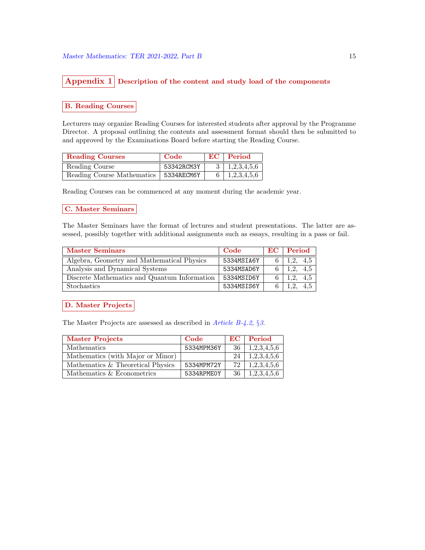# Appendix  $1$  Description of the content and study load of the components

### B. Reading Courses

Lecturers may organize Reading Courses for interested students after approval by the Programme Director. A proposal outlining the contents and assessment format should then be submitted to and approved by the Examinations Board before starting the Reading Course.

| <b>Reading Courses</b>                  | Code       | $EC$   Period             |
|-----------------------------------------|------------|---------------------------|
| Reading Course                          | 53342RCM3Y | $3 \mid 1,2,3,4,5,6 \mid$ |
| Reading Course Mathematics   5334RECM6Y |            | $6 \mid 1,2,3,4,5,6 \mid$ |

Reading Courses can be commenced at any moment during the academic year.

# C. Master Seminars

The Master Seminars have the format of lectures and student presentations. The latter are assessed, possibly together with additional assignments such as essays, resulting in a pass or fail.

| <b>Master Seminars</b>                       | Code       | EC   Period |     |
|----------------------------------------------|------------|-------------|-----|
| Algebra, Geometry and Mathematical Physics   | 5334MSIA6Y | 1,2, 4,5    |     |
| Analysis and Dynamical Systems               | 5334MSAD6Y | 1.2         | 4.5 |
| Discrete Mathematics and Quantum Information | 5334MSID6Y | 19          | 4.5 |
| <b>Stochastics</b>                           | 5334MSIS6Y |             | 4.5 |

D. Master Projects

The Master Projects are assessed as described in *Article B-4.2*, §3.

| <b>Master Projects</b>            | Code       | EC  | Period      |
|-----------------------------------|------------|-----|-------------|
| Mathematics                       | 5334MPM36Y | -36 | 1,2,3,4,5,6 |
| Mathematics (with Major or Minor) |            | 24  | 1,2,3,4,5,6 |
| Mathematics & Theoretical Physics | 5334MPM72Y | 72  | 1,2,3,4,5,6 |
| Mathematics & Econometrics        | 5334RPME0Y | 36  | 1,2,3,4,5,6 |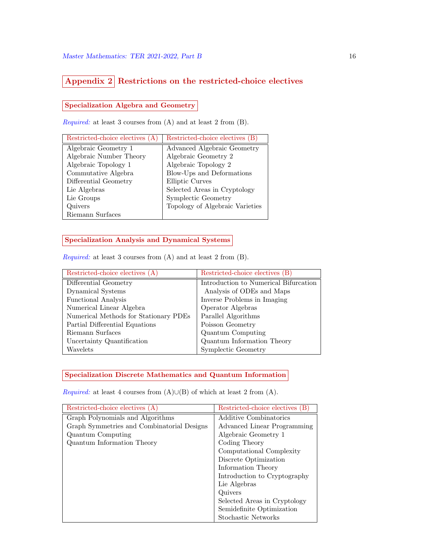# Appendix 2 Restrictions on the restricted-choice electives

# Specialization Algebra and Geometry

Required: at least 3 courses from (A) and at least 2 from (B).

| Restricted-choice electives (A) | Restricted-choice electives (B) |
|---------------------------------|---------------------------------|
| Algebraic Geometry 1            | Advanced Algebraic Geometry     |
| Algebraic Number Theory         | Algebraic Geometry 2            |
| Algebraic Topology 1            | Algebraic Topology 2            |
| Commutative Algebra             | Blow-Ups and Deformations       |
| Differential Geometry           | Elliptic Curves                 |
| Lie Algebras                    | Selected Areas in Cryptology    |
| Lie Groups                      | Symplectic Geometry             |
| Quivers                         | Topology of Algebraic Varieties |
| Riemann Surfaces                |                                 |

# Specialization Analysis and Dynamical Systems

Required: at least 3 courses from (A) and at least 2 from (B).

| Restricted-choice electives (A)       | Restricted-choice electives $(B)$     |
|---------------------------------------|---------------------------------------|
| Differential Geometry                 | Introduction to Numerical Bifurcation |
| Dynamical Systems                     | Analysis of ODEs and Maps             |
| <b>Functional Analysis</b>            | Inverse Problems in Imaging           |
| Numerical Linear Algebra              | Operator Algebras                     |
| Numerical Methods for Stationary PDEs | Parallel Algorithms                   |
| Partial Differential Equations        | Poisson Geometry                      |
| Riemann Surfaces                      | Quantum Computing                     |
| Uncertainty Quantification            | Quantum Information Theory            |
| Wavelets                              | Symplectic Geometry                   |

# Specialization Discrete Mathematics and Quantum Information

Required: at least 4 courses from  $(A) \cup (B)$  of which at least 2 from  $(A)$ .

| Restricted-choice electives (A)            | Restricted-choice electives (B) |
|--------------------------------------------|---------------------------------|
| Graph Polynomials and Algorithms           | Additive Combinatorics          |
| Graph Symmetries and Combinatorial Designs | Advanced Linear Programming     |
| Quantum Computing                          | Algebraic Geometry 1            |
| Quantum Information Theory                 | Coding Theory                   |
|                                            | Computational Complexity        |
|                                            | Discrete Optimization           |
|                                            | Information Theory              |
|                                            | Introduction to Cryptography    |
|                                            | Lie Algebras                    |
|                                            | Quivers                         |
|                                            | Selected Areas in Cryptology    |
|                                            | Semidefinite Optimization       |
|                                            | Stochastic Networks             |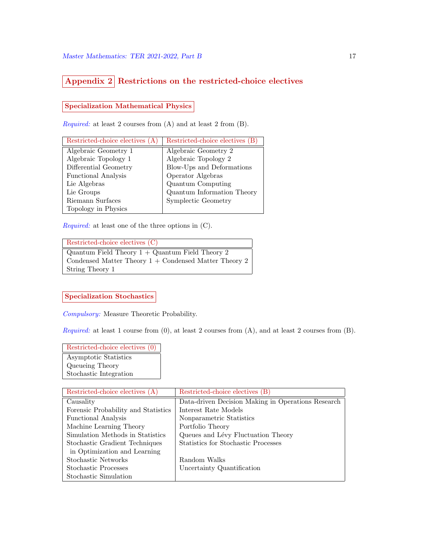# Appendix 2 Restrictions on the restricted-choice electives

# Specialization Mathematical Physics

Required: at least 2 courses from (A) and at least 2 from (B).

| Restricted-choice electives (A) | Restricted-choice electives (B) |
|---------------------------------|---------------------------------|
| Algebraic Geometry 1            | Algebraic Geometry 2            |
| Algebraic Topology 1            | Algebraic Topology 2            |
| Differential Geometry           | Blow-Ups and Deformations       |
| <b>Functional Analysis</b>      | Operator Algebras               |
| Lie Algebras                    | Quantum Computing               |
| Lie Groups                      | Quantum Information Theory      |
| Riemann Surfaces                | Symplectic Geometry             |
| Topology in Physics             |                                 |

Required: at least one of the three options in (C).

| Restricted-choice electives (C)                         |
|---------------------------------------------------------|
|                                                         |
| Quantum Field Theory $1 +$ Quantum Field Theory 2       |
|                                                         |
| Condensed Matter Theory $1 +$ Condensed Matter Theory 2 |
|                                                         |
|                                                         |
| String Theory 1                                         |
|                                                         |
|                                                         |

# Specialization Stochastics

Compulsory: Measure Theoretic Probability.

Required: at least 1 course from  $(0)$ , at least 2 courses from  $(A)$ , and at least 2 courses from  $(B)$ .

Restricted-choice electives (0) Asymptotic Statistics Queueing Theory Stochastic Integration

| Restricted-choice electives (A)     | Restricted-choice electives (B)                    |
|-------------------------------------|----------------------------------------------------|
| Causality                           | Data-driven Decision Making in Operations Research |
| Forensic Probability and Statistics | Interest Rate Models                               |
| <b>Functional Analysis</b>          | Nonparametric Statistics                           |
| Machine Learning Theory             | Portfolio Theory                                   |
| Simulation Methods in Statistics    | Queues and Lévy Fluctuation Theory                 |
| Stochastic Gradient Techniques      | Statistics for Stochastic Processes                |
| in Optimization and Learning        |                                                    |
| Stochastic Networks                 | Random Walks                                       |
| Stochastic Processes                | Uncertainty Quantification                         |
| Stochastic Simulation               |                                                    |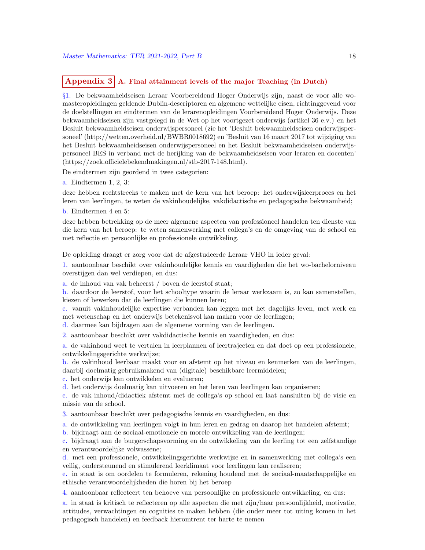# Appendix  $3 \nvert A$ . Final attainment levels of the major Teaching (in Dutch)

§1. De bekwaamheidseisen Leraar Voorbereidend Hoger Onderwijs zijn, naast de voor alle womasteropleidingen geldende Dublin-descriptoren en algemene wettelijke eisen, richtinggevend voor de doelstellingen en eindtermen van de lerarenopleidingen Voorbereidend Hoger Onderwijs. Deze bekwaamheidseisen zijn vastgelegd in de Wet op het voortgezet onderwijs (artikel 36 e.v.) en het Besluit bekwaamheidseisen onderwijspersoneel (zie het 'Besluit bekwaamheidseisen onderwijspersoneel' (http://wetten.overheid.nl/BWBR0018692) en 'Besluit van 16 maart 2017 tot wijziging van het Besluit bekwaamheidseisen onderwijspersoneel en het Besluit bekwaamheidseisen onderwijspersoneel BES in verband met de herijking van de bekwaamheidseisen voor leraren en docenten' (https://zoek.officielebekendmakingen.nl/stb-2017-148.html).

De eindtermen zijn geordend in twee categorien:

a. Eindtermen 1, 2, 3:

deze hebben rechtstreeks te maken met de kern van het beroep: het onderwijsleerproces en het leren van leerlingen, te weten de vakinhoudelijke, vakdidactische en pedagogische bekwaamheid;

b. Eindtermen 4 en 5:

deze hebben betrekking op de meer algemene aspecten van professioneel handelen ten dienste van die kern van het beroep: te weten samenwerking met collega's en de omgeving van de school en met reflectie en persoonlijke en professionele ontwikkeling.

De opleiding draagt er zorg voor dat de afgestudeerde Leraar VHO in ieder geval:

1. aantoonbaar beschikt over vakinhoudelijke kennis en vaardigheden die het wo-bachelorniveau overstijgen dan wel verdiepen, en dus:

a. de inhoud van vak beheerst / boven de leerstof staat;

b. daardoor de leerstof, voor het schooltype waarin de leraar werkzaam is, zo kan samenstellen, kiezen of bewerken dat de leerlingen die kunnen leren;

c. vanuit vakinhoudelijke expertise verbanden kan leggen met het dagelijks leven, met werk en met wetenschap en het onderwijs betekenisvol kan maken voor de leerlingen;

d. daarmee kan bijdragen aan de algemene vorming van de leerlingen.

2. aantoonbaar beschikt over vakdidactische kennis en vaardigheden, en dus:

a. de vakinhoud weet te vertalen in leerplannen of leertrajecten en dat doet op een professionele, ontwikkelingsgerichte werkwijze;

b. de vakinhoud leerbaar maakt voor en afstemt op het niveau en kenmerken van de leerlingen, daarbij doelmatig gebruikmakend van (digitale) beschikbare leermiddelen;

c. het onderwijs kan ontwikkelen en evalueren;

d. het onderwijs doelmatig kan uitvoeren en het leren van leerlingen kan organiseren;

e. de vak inhoud/didactiek afstemt met de collega's op school en laat aansluiten bij de visie en missie van de school.

3. aantoonbaar beschikt over pedagogische kennis en vaardigheden, en dus:

a. de ontwikkeling van leerlingen volgt in hun leren en gedrag en daarop het handelen afstemt;

b. bijdraagt aan de sociaal-emotionele en morele ontwikkeling van de leerlingen;

c. bijdraagt aan de burgerschapsvorming en de ontwikkeling van de leerling tot een zelfstandige en verantwoordelijke volwassene;

d. met een professionele, ontwikkelingsgerichte werkwijze en in samenwerking met collega's een veilig, ondersteunend en stimulerend leerklimaat voor leerlingen kan realiseren;

e. in staat is om oordelen te formuleren, rekening houdend met de sociaal-maatschappelijke en ethische verantwoordelijkheden die horen bij het beroep

4. aantoonbaar reflecteert ten behoeve van persoonlijke en professionele ontwikkeling, en dus:

a. in staat is kritisch te reflecteren op alle aspecten die met zijn/haar persoonlijkheid, motivatie, attitudes, verwachtingen en cognities te maken hebben (die onder meer tot uiting komen in het pedagogisch handelen) en feedback hieromtrent ter harte te nemen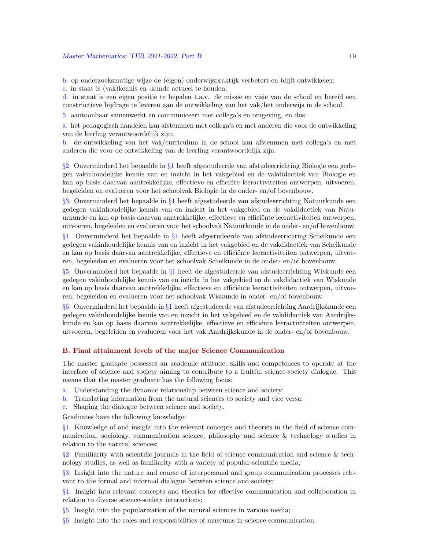b. op onderzoeksmatige wijze de (eigen) onderwijspraktijk verbetert en blijft ontwikkelen;

c. in staat is (vak)kennis en -kunde actueel te houden;

d. in staat is een eigen positie te bepalen t.a.v. de missie en visie van de school en bereid een constructieve bijdrage te leveren aan de ontwikkeling van het vak/het onderwijs in de school.

5. aantoonbaar samenwerkt en communiceert met collega's en omgeving, en dus:

a. het pedagogisch handelen kan afstemmen met collega's en met anderen die voor de ontwikkeling van de leerling verantwoordelijk zijn;

b. de ontwikkeling van het vak/curriculum in de school kan afstemmen met collega's en met anderen die voor de ontwikkeling van de leerling verantwoordelijk zijn.

§2. Onverminderd het bepaalde in §1 heeft afgestudeerde van afstudeerrichting Biologie een gedegen vakinhoudelijke kennis van en inzicht in het vakgebied en de vakdidactiek van Biologie en kan op basis daarvan aantrekkelijke, effectieve en efficiëte leeractiviteiten ontwerpen, uitvoeren, begeleiden en evalueren voor het schoolvak Biologie in de onder- en/of bovenbouw.

§3. Onverminderd het bepaalde in §1 heeft afgestudeerde van afstudeerrichting Natuurkunde een gedegen vakinhoudelijke kennis van en inzicht in het vakgebied en de vakdidactiek van Natuurkunde en kan op basis daarvan aantrekkelijke, effectieve en efficiënte leeractiviteiten ontwerpen, uitvoeren, begeleiden en evalueren voor het schoolvak Natuurkunde in de onder- en/of bovenbouw.

§4. Onverminderd het bepaalde in §1 heeft afgestudeerde van afstudeerrichting Scheikunde een gedegen vakinhoudelijke kennis van en inzicht in het vakgebied en de vakdidactiek van Scheikunde en kan op basis daarvan aantrekkelijke, effectieve en efficiënte leeractiviteiten ontwerpen, uitvoeren, begeleiden en evalueren voor het schoolvak Scheikunde in de onder- en/of bovenbouw.

§5. Onverminderd het bepaalde in §1 heeft de afgestudeerde van afstudeerrichting Wiskunde een gedegen vakinhoudelijke kennis van en inzicht in het vakgebied en de vakdidactiek van Wiskunde en kan op basis daarvan aantrekkelijke, effectieve en efficiënte leeractiviteiten ontwerpen, uitvoeren, begeleiden en evalueren voor het schoolvak Wiskunde in onder- en/of bovenbouw.

§6. Onverminderd het bepaalde in §1 heeft afgestudeerde van afstudeerrichting Aardrijkskunde een gedegen vakinhoudelijke kennis van en inzicht in het vakgebied en de vakdidactiek van Aardrijkskunde en kan op basis daarvan aantrekkelijke, effectieve en efficiënte leeractiviteiten ontwerpen, uitvoeren, begeleiden en evalueren voor het vak Aardrijkskunde in de onder- en/of bovenbouw.

#### B. Final attainment levels of the major Science Communication

The master graduate possesses an academic attitude, skills and competences to operate at the interface of science and society aiming to contribute to a fruitful science-society dialogue. This means that the master graduate has the following focus:

- a. Understanding the dynamic relationship between science and society;
- b. Translating information from the natural sciences to society and vice versa;
- c. Shaping the dialogue between science and society.

Graduates have the following knowledge:

§1. Knowledge of and insight into the relevant concepts and theories in the field of science communication, sociology, communication science, philosophy and science & technology studies in relation to the natural sciences;

 $\S2$ . Familiarity with scientific journals in the field of science communication and science & technology studies, as well as familiarity with a variety of popular-scientific media;

§3. Insight into the nature and course of interpersonal and group communication processes relevant to the formal and informal dialogue between science and society;

§4. Insight into relevant concepts and theories for effective communication and collaboration in relation to diverse science-society interactions;

§5. Insight into the popularization of the natural sciences in various media;

§6. Insight into the roles and responsibilities of museums in science communication.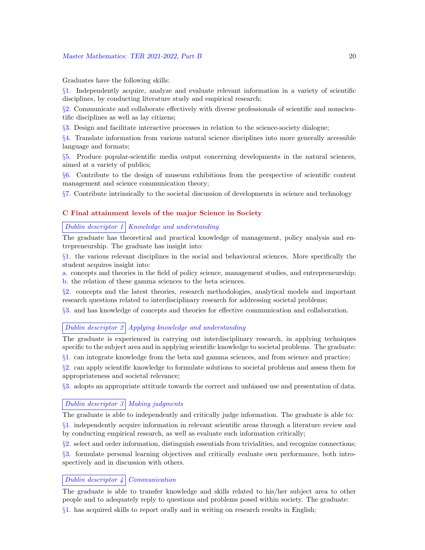Graduates have the following skills:

§1. Independently acquire, analyze and evaluate relevant information in a variety of scientific disciplines, by conducting literature study and empirical research;

§2. Communicate and collaborate effectively with diverse professionals of scientific and nonscientific disciplines as well as lay citizens;

§3. Design and facilitate interactive processes in relation to the science-society dialogue;

§4. Translate information from various natural science disciplines into more generally accessible language and formats;

§5. Produce popular-scientific media output concerning developments in the natural sciences, aimed at a variety of publics;

§6. Contribute to the design of museum exhibitions from the perspective of scientific content management and science communication theory;

§7. Contribute intrinsically to the societal discussion of developments in science and technology

### C Final attainment levels of the major Science in Society

# Dublin descriptor  $1 \vert$  Knowledge and understanding

The graduate has theoretical and practical knowledge of management, policy analysis and entrepreneurship. The graduate has insight into:

§1. the various relevant disciplines in the social and behavioural sciences. More specifically the student acquires insight into:

a. concepts and theories in the field of policy science, management studies, and entrepreneurship; b. the relation of these gamma sciences to the beta sciences.

§2. concepts and the latest theories, research methodologies, analytical models and important research questions related to interdisciplinary research for addressing societal problems;

§3. and has knowledge of concepts and theories for effective communication and collaboration.

### Dublin descriptor 2 Applying knowledge and understanding

The graduate is experienced in carrying out interdisciplinary research, in applying techniques specific to the subject area and in applying scientific knowledge to societal problems. The graduate:

§1. can integrate knowledge from the beta and gamma sciences, and from science and practice;

§2. can apply scientific knowledge to formulate solutions to societal problems and assess them for appropriateness and societal relevance;

§3. adopts an appropriate attitude towards the correct and unbiased use and presentation of data.

#### Dublin descriptor  $3 \mid$  Making judgments

The graduate is able to independently and critically judge information. The graduate is able to: §1. independently acquire information in relevant scientific areas through a literature review and

by conducting empirical research, as well as evaluate such information critically;

§2. select and order information, distinguish essentials from trivialities, and recognize connections;

§3. formulate personal learning objectives and critically evaluate own performance, both introspectively and in discussion with others.

#### Dublin descriptor  $\frac{1}{4}$  Communication

The graduate is able to transfer knowledge and skills related to his/her subject area to other people and to adequately reply to questions and problems posed within society. The graduate: §1. has acquired skills to report orally and in writing on research results in English;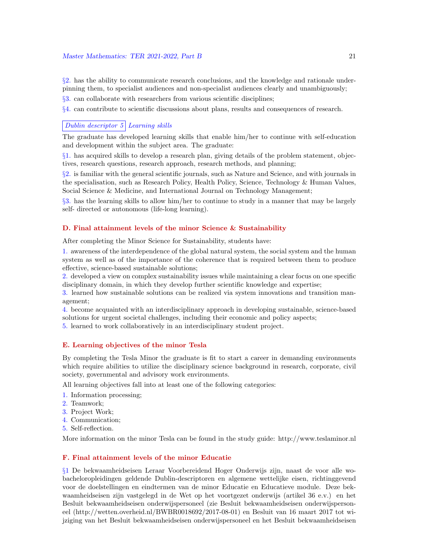§2. has the ability to communicate research conclusions, and the knowledge and rationale underpinning them, to specialist audiences and non-specialist audiences clearly and unambiguously;

§3. can collaborate with researchers from various scientific disciplines;

§4. can contribute to scientific discussions about plans, results and consequences of research.

### Dublin descriptor  $5$  Learning skills

The graduate has developed learning skills that enable him/her to continue with self-education and development within the subject area. The graduate:

§1. has acquired skills to develop a research plan, giving details of the problem statement, objectives, research questions, research approach, research methods, and planning;

§2. is familiar with the general scientific journals, such as Nature and Science, and with journals in the specialisation, such as Research Policy, Health Policy, Science, Technology & Human Values, Social Science & Medicine, and International Journal on Technology Management;

§3. has the learning skills to allow him/her to continue to study in a manner that may be largely self- directed or autonomous (life-long learning).

#### D. Final attainment levels of the minor Science & Sustainability

After completing the Minor Science for Sustainability, students have:

1. awareness of the interdependence of the global natural system, the social system and the human system as well as of the importance of the coherence that is required between them to produce effective, science-based sustainable solutions;

2. developed a view on complex sustainability issues while maintaining a clear focus on one specific disciplinary domain, in which they develop further scientific knowledge and expertise;

3. learned how sustainable solutions can be realized via system innovations and transition management;

4. become acquainted with an interdisciplinary approach in developing sustainable, science-based solutions for urgent societal challenges, including their economic and policy aspects;

5. learned to work collaboratively in an interdisciplinary student project.

#### E. Learning objectives of the minor Tesla

By completing the Tesla Minor the graduate is fit to start a career in demanding environments which require abilities to utilize the disciplinary science background in research, corporate, civil society, governmental and advisory work environments.

All learning objectives fall into at least one of the following categories:

- 1. Information processing;
- 2. Teamwork;
- 3. Project Work;
- 4. Communication;
- 5. Self-reflection.

More information on the minor Tesla can be found in the study guide: http://www.teslaminor.nl

### F. Final attainment levels of the minor Educatie

§1 De bekwaamheidseisen Leraar Voorbereidend Hoger Onderwijs zijn, naast de voor alle wobacheloropleidingen geldende Dublin-descriptoren en algemene wettelijke eisen, richtinggevend voor de doelstellingen en eindtermen van de minor Educatie en Educatieve module. Deze bekwaamheidseisen zijn vastgelegd in de Wet op het voortgezet onderwijs (artikel 36 e.v.) en het Besluit bekwaamheidseisen onderwijspersoneel (zie Besluit bekwaamheidseisen onderwijspersoneel (http://wetten.overheid.nl/BWBR0018692/2017-08-01) en Besluit van 16 maart 2017 tot wijziging van het Besluit bekwaamheidseisen onderwijspersoneel en het Besluit bekwaamheidseisen